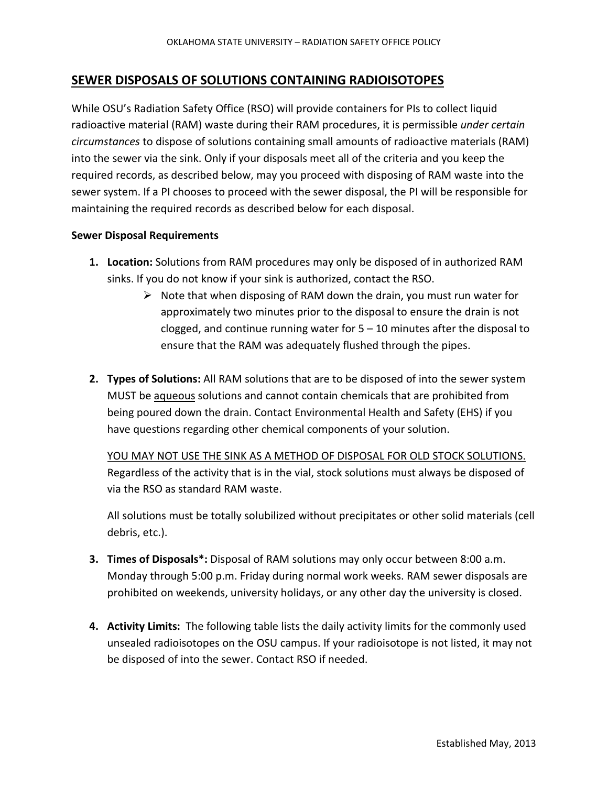## **SEWER DISPOSALS OF SOLUTIONS CONTAINING RADIOISOTOPES**

While OSU's Radiation Safety Office (RSO) will provide containers for PIs to collect liquid radioactive material (RAM) waste during their RAM procedures, it is permissible *under certain circumstances* to dispose of solutions containing small amounts of radioactive materials (RAM) into the sewer via the sink. Only if your disposals meet all of the criteria and you keep the required records, as described below, may you proceed with disposing of RAM waste into the sewer system. If a PI chooses to proceed with the sewer disposal, the PI will be responsible for maintaining the required records as described below for each disposal.

## **Sewer Disposal Requirements**

- **1. Location:** Solutions from RAM procedures may only be disposed of in authorized RAM sinks. If you do not know if your sink is authorized, contact the RSO.
	- $\triangleright$  Note that when disposing of RAM down the drain, you must run water for approximately two minutes prior to the disposal to ensure the drain is not clogged, and continue running water for 5 – 10 minutes after the disposal to ensure that the RAM was adequately flushed through the pipes.
- **2. Types of Solutions:** All RAM solutions that are to be disposed of into the sewer system MUST be aqueous solutions and cannot contain chemicals that are prohibited from being poured down the drain. Contact Environmental Health and Safety (EHS) if you have questions regarding other chemical components of your solution.

YOU MAY NOT USE THE SINK AS A METHOD OF DISPOSAL FOR OLD STOCK SOLUTIONS. Regardless of the activity that is in the vial, stock solutions must always be disposed of via the RSO as standard RAM waste.

All solutions must be totally solubilized without precipitates or other solid materials (cell debris, etc.).

- **3. Times of Disposals\*:** Disposal of RAM solutions may only occur between 8:00 a.m. Monday through 5:00 p.m. Friday during normal work weeks. RAM sewer disposals are prohibited on weekends, university holidays, or any other day the university is closed.
- **4. Activity Limits:** The following table lists the daily activity limits for the commonly used unsealed radioisotopes on the OSU campus. If your radioisotope is not listed, it may not be disposed of into the sewer. Contact RSO if needed.